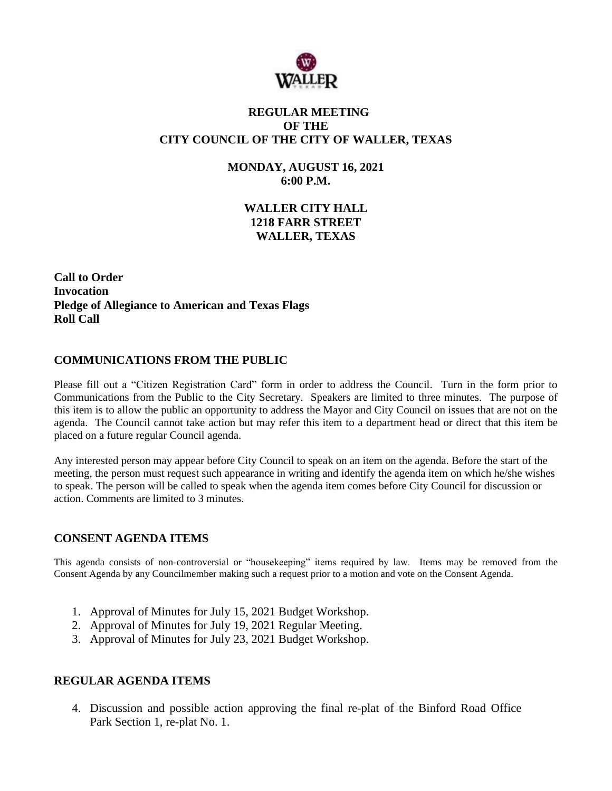

# **REGULAR MEETING OF THE CITY COUNCIL OF THE CITY OF WALLER, TEXAS**

**MONDAY, AUGUST 16, 2021 6:00 P.M.**

> **WALLER CITY HALL 1218 FARR STREET WALLER, TEXAS**

**Call to Order Invocation Pledge of Allegiance to American and Texas Flags Roll Call**

# **COMMUNICATIONS FROM THE PUBLIC**

Please fill out a "Citizen Registration Card" form in order to address the Council. Turn in the form prior to Communications from the Public to the City Secretary. Speakers are limited to three minutes. The purpose of this item is to allow the public an opportunity to address the Mayor and City Council on issues that are not on the agenda. The Council cannot take action but may refer this item to a department head or direct that this item be placed on a future regular Council agenda.

Any interested person may appear before City Council to speak on an item on the agenda. Before the start of the meeting, the person must request such appearance in writing and identify the agenda item on which he/she wishes to speak. The person will be called to speak when the agenda item comes before City Council for discussion or action. Comments are limited to 3 minutes.

## **CONSENT AGENDA ITEMS**

This agenda consists of non-controversial or "housekeeping" items required by law. Items may be removed from the Consent Agenda by any Councilmember making such a request prior to a motion and vote on the Consent Agenda.

- 1. Approval of Minutes for July 15, 2021 Budget Workshop.
- 2. Approval of Minutes for July 19, 2021 Regular Meeting.
- 3. Approval of Minutes for July 23, 2021 Budget Workshop.

## **REGULAR AGENDA ITEMS**

4. Discussion and possible action approving the final re-plat of the Binford Road Office Park Section 1, re-plat No. 1.